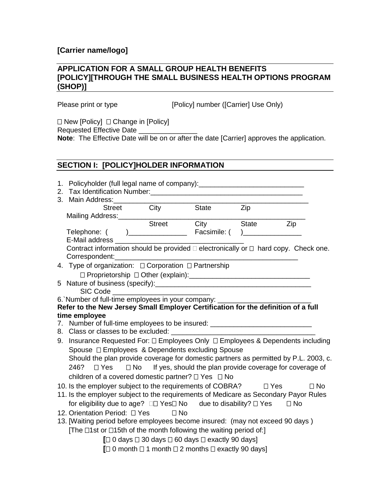# **[Carrier name/logo]**

#### **APPLICATION FOR A SMALL GROUP HEALTH BENEFITS [POLICY][THROUGH THE SMALL BUSINESS HEALTH OPTIONS PROGRAM (SHOP)]**

Please print or type [Policy] number ([Carrier] Use Only)

 $\Box$  New [Policy]  $\Box$  Change in [Policy]

Requested Effective Date

**Note**: The Effective Date will be on or after the date [Carrier] approves the application.

# **SECTION I: [POLICY]HOLDER INFORMATION**

|    |                                                                                                                               | 1. Policyholder (full legal name of company): __________________________________              |  |                |                         |  |  |
|----|-------------------------------------------------------------------------------------------------------------------------------|-----------------------------------------------------------------------------------------------|--|----------------|-------------------------|--|--|
| 2. |                                                                                                                               |                                                                                               |  |                |                         |  |  |
| 3. | Main Address:                                                                                                                 |                                                                                               |  |                |                         |  |  |
|    |                                                                                                                               | Street City State                                                                             |  | Zip            |                         |  |  |
|    |                                                                                                                               |                                                                                               |  |                |                         |  |  |
|    |                                                                                                                               | Mailing Address:<br>Street City                                                               |  | <b>State</b>   | Zip                     |  |  |
|    | Telephone: (<br>E-Mail address                                                                                                |                                                                                               |  | $\overline{a}$ |                         |  |  |
|    |                                                                                                                               | Contract information should be provided $\Box$ electronically or $\Box$ hard copy. Check one. |  |                |                         |  |  |
|    | Correspondent:                                                                                                                |                                                                                               |  |                |                         |  |  |
|    |                                                                                                                               | 4. Type of organization: $\Box$ Corporation $\Box$ Partnership                                |  |                |                         |  |  |
|    |                                                                                                                               |                                                                                               |  |                |                         |  |  |
|    |                                                                                                                               |                                                                                               |  |                |                         |  |  |
|    |                                                                                                                               | SIC Code                                                                                      |  |                |                         |  |  |
|    |                                                                                                                               | 6. Number of full-time employees in your company: ______________________________              |  |                |                         |  |  |
|    |                                                                                                                               | Refer to the New Jersey Small Employer Certification for the definition of a full             |  |                |                         |  |  |
|    | time employee                                                                                                                 |                                                                                               |  |                |                         |  |  |
|    |                                                                                                                               | 7. Number of full-time employees to be insured: ________________________________              |  |                |                         |  |  |
|    | 8. Class or classes to be excluded:                                                                                           |                                                                                               |  |                |                         |  |  |
|    | 9. Insurance Requested For: $\Box$ Employees Only $\Box$ Employees & Dependents including                                     |                                                                                               |  |                |                         |  |  |
|    | Spouse □ Employees & Dependents excluding Spouse                                                                              |                                                                                               |  |                |                         |  |  |
|    |                                                                                                                               | Should the plan provide coverage for domestic partners as permitted by P.L. 2003, c.          |  |                |                         |  |  |
|    | 246?                                                                                                                          | $\Box$ Yes $\Box$ No If yes, should the plan provide coverage for coverage of                 |  |                |                         |  |  |
|    |                                                                                                                               | children of a covered domestic partner? $\Box$ Yes $\Box$ No                                  |  |                |                         |  |  |
|    |                                                                                                                               | 10. Is the employer subject to the requirements of COBRA?                                     |  |                | $\Box$ No<br>$\Box$ Yes |  |  |
|    |                                                                                                                               | 11. Is the employer subject to the requirements of Medicare as Secondary Payor Rules          |  |                |                         |  |  |
|    |                                                                                                                               | for eligibility due to age? □□ Yes□ No due to disability? □ Yes                               |  |                | $\Box$ No               |  |  |
|    | 12. Orientation Period: <sub>[12.</sub> Orientation Period: <sub>[12.</sub> Yes] <sub>[12.</sub> Orientation Period: <b>p</b> |                                                                                               |  |                |                         |  |  |
|    |                                                                                                                               | 13. [Waiting period before employees become insured: (may not exceed 90 days)                 |  |                |                         |  |  |
|    |                                                                                                                               | The $\Box$ 1st or $\Box$ 15th of the month following the waiting period of:                   |  |                |                         |  |  |
|    |                                                                                                                               |                                                                                               |  |                |                         |  |  |
|    |                                                                                                                               | $\Box$ 0 days $\Box$ 30 days $\Box$ 60 days $\Box$ exactly 90 days]                           |  |                |                         |  |  |
|    |                                                                                                                               | $\Box$ 0 month $\Box$ 1 month $\Box$ 2 months $\Box$ exactly 90 days]                         |  |                |                         |  |  |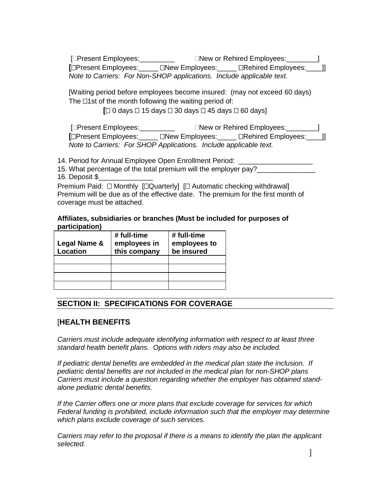[Present Employees:\_\_\_\_\_\_\_\_\_ New or Rehired Employees:\_\_\_\_\_\_\_\_] **[**Present Employees:\_\_\_\_\_ New Employees:\_\_\_\_\_ Rehired Employees:\_\_\_\_]] *Note to Carriers: For Non-SHOP applications. Include applicable text.*

[Waiting period before employees become insured: (may not exceed 60 days) The  $\Box$ 1st of the month following the waiting period of:

 $\Box$  0 days  $\Box$  15 days  $\Box$  30 days  $\Box$  45 days  $\Box$  60 days]

[Present Employees:\_\_\_\_\_\_\_\_\_ New or Rehired Employees:\_\_\_\_\_\_\_\_] **[**Present Employees:\_\_\_\_\_ New Employees:\_\_\_\_\_ Rehired Employees:\_\_\_\_]] *Note to Carriers: For SHOP Applications. Include applicable text.*

14. Period for Annual Employee Open Enrollment Period:

15. What percentage of the total premium will the employer pay? 16. Deposit \$\_\_\_\_\_\_\_\_\_\_\_\_\_\_

Premium Paid:  $\Box$  Monthly  $\Box$  Quarterly  $\Box$  Automatic checking withdrawal Premium will be due as of the effective date. The premium for the first month of coverage must be attached.

**Affiliates, subsidiaries or branches (Must be included for purposes of participation)**

| Legal Name &<br><b>Location</b> | # full-time<br>employees in<br>this company | # full-time<br>employees to<br>be insured |
|---------------------------------|---------------------------------------------|-------------------------------------------|
|                                 |                                             |                                           |
|                                 |                                             |                                           |
|                                 |                                             |                                           |
|                                 |                                             |                                           |

# **SECTION II: SPECIFICATIONS FOR COVERAGE**

## [**HEALTH BENEFITS**

*Carriers must include adequate identifying information with respect to at least three standard health benefit plans. Options with riders may also be included.*

*If pediatric dental benefits are embedded in the medical plan state the inclusion. If pediatric dental benefits are not included in the medical plan for non-SHOP plans Carriers must include a question regarding whether the employer has obtained standalone pediatric dental benefits.*

*If the Carrier offers one or more plans that exclude coverage for services for which Federal funding is prohibited, include information such that the employer may determine which plans exclude coverage of such services.*

*Carriers may refer to the proposal if there is a means to identify the plan the applicant selected.*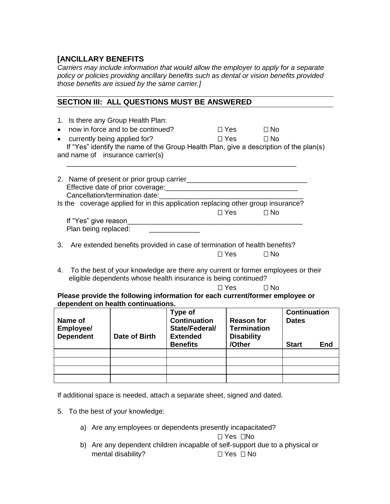# **[ANCILLARY BENEFITS**

*Carriers may include information that would allow the employer to apply for a separate policy or policies providing ancillary benefits such as dental or vision benefits provided those benefits are issued by the same carrier.]*

#### **SECTION III: ALL QUESTIONS MUST BE ANSWERED**

| 1. Is there any Group Health Plan:<br>now in force and to be continued?<br>$\bullet$<br>currently being applied for?<br>$\bullet$<br>If "Yes" identify the name of the Group Health Plan, give a description of the plan(s)<br>and name of insurance carrier(s)                                                                                                                                                         |                                | $\Box$ Yes<br>$\Box$ No<br>$\square$ Yes $\square$<br>$\Box$ No |                                     |  |  |  |  |  |  |
|-------------------------------------------------------------------------------------------------------------------------------------------------------------------------------------------------------------------------------------------------------------------------------------------------------------------------------------------------------------------------------------------------------------------------|--------------------------------|-----------------------------------------------------------------|-------------------------------------|--|--|--|--|--|--|
| 2. Name of present or prior group carrier <b>contained a set of property and property</b><br>Cancellation/termination date: example and the cancellation/termination date:<br>Is the coverage applied for in this application replacing other group insurance?                                                                                                                                                          |                                |                                                                 |                                     |  |  |  |  |  |  |
|                                                                                                                                                                                                                                                                                                                                                                                                                         |                                | $\Box$ Yes<br>$\Box$ No                                         |                                     |  |  |  |  |  |  |
|                                                                                                                                                                                                                                                                                                                                                                                                                         |                                |                                                                 |                                     |  |  |  |  |  |  |
| Plan being replaced:                                                                                                                                                                                                                                                                                                                                                                                                    |                                |                                                                 |                                     |  |  |  |  |  |  |
| Are extended benefits provided in case of termination of health benefits?<br>3.<br>$\Box$ Yes<br>$\Box$ No<br>To the best of your knowledge are there any current or former employees or their<br>4.<br>eligible dependents whose health insurance is being continued?<br>$\Box$ Yes<br>$\Box$ No<br>Please provide the following information for each current/former employee or<br>dependent on health continuations. |                                |                                                                 |                                     |  |  |  |  |  |  |
| Name of                                                                                                                                                                                                                                                                                                                                                                                                                 | Type of<br><b>Continuation</b> | <b>Reason for</b>                                               | <b>Continuation</b><br><b>Dates</b> |  |  |  |  |  |  |
| Employee/                                                                                                                                                                                                                                                                                                                                                                                                               | State/Federal/                 | <b>Termination</b>                                              |                                     |  |  |  |  |  |  |
| <b>Dependent</b><br>Date of Birth                                                                                                                                                                                                                                                                                                                                                                                       | <b>Extended</b>                | <b>Disability</b>                                               |                                     |  |  |  |  |  |  |
|                                                                                                                                                                                                                                                                                                                                                                                                                         | <b>Benefits</b>                | /Other                                                          | <b>Start</b><br>End                 |  |  |  |  |  |  |
|                                                                                                                                                                                                                                                                                                                                                                                                                         |                                |                                                                 |                                     |  |  |  |  |  |  |
|                                                                                                                                                                                                                                                                                                                                                                                                                         |                                |                                                                 |                                     |  |  |  |  |  |  |
|                                                                                                                                                                                                                                                                                                                                                                                                                         |                                |                                                                 |                                     |  |  |  |  |  |  |
|                                                                                                                                                                                                                                                                                                                                                                                                                         |                                |                                                                 |                                     |  |  |  |  |  |  |

If additional space is needed, attach a separate sheet, signed and dated.

- 5. To the best of your knowledge:
	- a) Are any employees or dependents presently incapacitated?

 $\Box$  Yes  $\Box$ No

b) Are any dependent children incapable of self-support due to a physical or mental disability?  $\square$  Yes  $\square$  No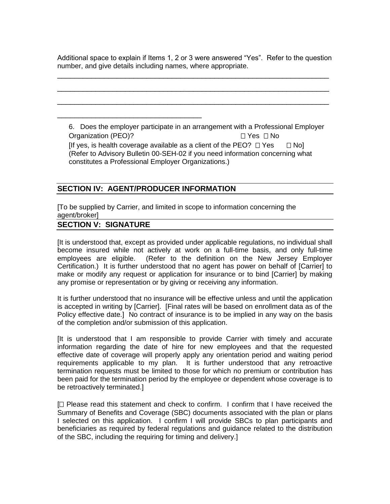Additional space to explain if Items 1, 2 or 3 were answered "Yes". Refer to the question number, and give details including names, where appropriate.

\_\_\_\_\_\_\_\_\_\_\_\_\_\_\_\_\_\_\_\_\_\_\_\_\_\_\_\_\_\_\_\_\_\_\_\_\_\_\_\_\_\_\_\_\_\_\_\_\_\_\_\_\_\_\_\_\_\_\_\_\_\_\_\_

\_\_\_\_\_\_\_\_\_\_\_\_\_\_\_\_\_\_\_\_\_\_\_\_\_\_\_\_\_\_\_\_\_\_\_\_\_\_\_\_\_\_\_\_\_\_\_\_\_\_\_\_\_\_\_\_\_\_\_\_\_\_\_\_

\_\_\_\_\_\_\_\_\_\_\_\_\_\_\_\_\_\_\_\_\_\_\_\_\_\_\_\_\_\_\_\_\_\_\_\_\_\_\_\_\_\_\_\_\_\_\_\_\_\_\_\_\_\_\_\_\_\_\_\_\_\_\_\_

6. Does the employer participate in an arrangement with a Professional Employer Organization (PEO)? □ Yes □ No [If yes, is health coverage available as a client of the PEO?  $\Box$  Yes  $\Box$  No] (Refer to Advisory Bulletin 00-SEH-02 if you need information concerning what constitutes a Professional Employer Organizations.)

## **SECTION IV: AGENT/PRODUCER INFORMATION**

\_\_\_\_\_\_\_\_\_\_\_\_\_\_\_\_\_\_\_\_\_\_\_\_\_\_\_\_\_\_\_\_\_\_

[To be supplied by Carrier, and limited in scope to information concerning the agent/broker]

#### **SECTION V: SIGNATURE**

[It is understood that, except as provided under applicable regulations, no individual shall become insured while not actively at work on a full-time basis, and only full-time employees are eligible. (Refer to the definition on the New Jersey Employer Certification.) It is further understood that no agent has power on behalf of [Carrier] to make or modify any request or application for insurance or to bind [Carrier] by making any promise or representation or by giving or receiving any information.

It is further understood that no insurance will be effective unless and until the application is accepted in writing by [Carrier]. [Final rates will be based on enrollment data as of the Policy effective date.] No contract of insurance is to be implied in any way on the basis of the completion and/or submission of this application.

[It is understood that I am responsible to provide Carrier with timely and accurate information regarding the date of hire for new employees and that the requested effective date of coverage will properly apply any orientation period and waiting period requirements applicable to my plan. It is further understood that any retroactive termination requests must be limited to those for which no premium or contribution has been paid for the termination period by the employee or dependent whose coverage is to be retroactively terminated.]

 $\Box$  Please read this statement and check to confirm. I confirm that I have received the Summary of Benefits and Coverage (SBC) documents associated with the plan or plans I selected on this application. I confirm I will provide SBCs to plan participants and beneficiaries as required by federal regulations and guidance related to the distribution of the SBC, including the requiring for timing and delivery.]